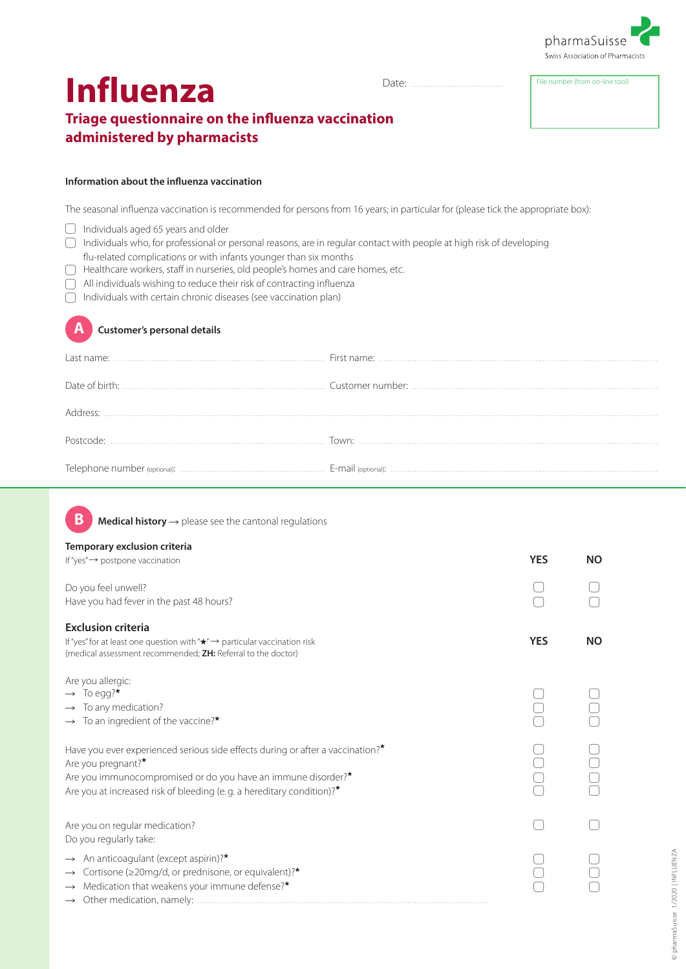

# **Influenza**

Date: File number (from on-line tool) ......................................

## **Triage questionnaire on the influenza vaccination administered by pharmacists**

#### **Information about the influenza vaccination**

The seasonal influenza vaccination is recommended for persons from 16 years; in particular for (please tick the appropriate box):

- ▢ Individuals aged 65 years and older
- ▢ Individuals who, for professional or personal reasons, are in regular contact with people at high risk of developing
- flu-related complications or with infants younger than six months
- ▢ Healthcare workers, staff in nurseries, old people's homes and care homes, etc.
- ▢ All individuals wishing to reduce their risk of contracting influenza
- ▢ Individuals with certain chronic diseases (see vaccination plan)



### **A Customer's personal details**

| Last name:            |       |
|-----------------------|-------|
|                       |       |
| Address <sup>.</sup>  |       |
| Postcode <sup>.</sup> | Town: |
|                       |       |

**B Medical history** → please see the cantonal regulations

#### **Temporary exclusion criteria**

| If "yes" $\rightarrow$ postpone vaccination                                                                                                                                                                                                                                   | <b>YES</b> | <b>NO</b> |
|-------------------------------------------------------------------------------------------------------------------------------------------------------------------------------------------------------------------------------------------------------------------------------|------------|-----------|
| Do you feel unwell?<br>Have you had fever in the past 48 hours?                                                                                                                                                                                                               |            |           |
| <b>Exclusion criteria</b><br>If "yes" for at least one question with " $\star$ " $\rightarrow$ particular vaccination risk<br>(medical assessment recommended; <b>ZH:</b> Referral to the doctor)                                                                             | <b>YES</b> | <b>NO</b> |
| Are you allergic:<br>$\rightarrow$ To egg?*<br>$\rightarrow$ To any medication?<br>$\rightarrow$ To an ingredient of the vaccine?*                                                                                                                                            |            |           |
| Have you ever experienced serious side effects during or after a vaccination? $\star$<br>Are you pregnant?*<br>Are you immunocompromised or do you have an immune disorder? <sup>*</sup><br>Are you at increased risk of bleeding (e.g. a hereditary condition)? <sup>*</sup> |            |           |
| Are you on regular medication?<br>Do you regularly take:                                                                                                                                                                                                                      |            |           |
| An anticoagulant (except aspirin)?*<br>Cortisone (≥20mg/d, or prednisone, or equivalent)? <sup>*</sup><br>$\rightarrow$<br>Medication that weakens your immune defense?*<br>$\rightarrow$                                                                                     |            |           |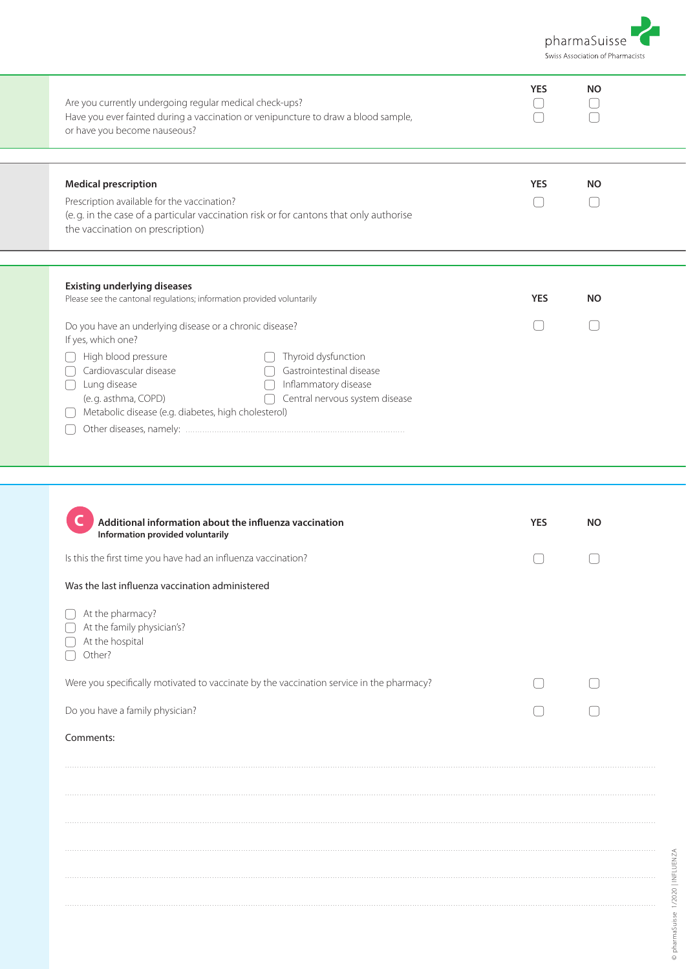

| <b>YES</b> | <b>NO</b>  |           |
|------------|------------|-----------|
| <b>YES</b> | <b>NO</b>  |           |
|            |            |           |
|            |            |           |
|            |            |           |
|            |            |           |
|            |            |           |
| <b>YES</b> | <b>NO</b>  |           |
|            |            |           |
|            |            |           |
|            |            |           |
|            |            |           |
|            |            |           |
|            |            |           |
|            |            |           |
|            |            |           |
|            |            |           |
|            |            |           |
|            |            |           |
|            |            |           |
|            | <b>YES</b> | <b>NO</b> |